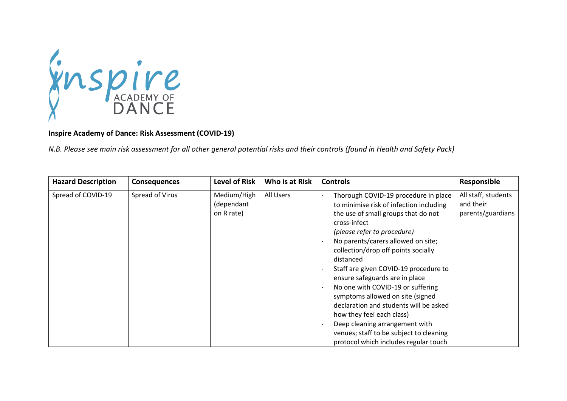

## **Inspire Academy of Dance: Risk Assessment (COVID-19)**

*N.B. Please see main risk assessment for all other general potential risks and their controls (found in Health and Safety Pack)*

| <b>Hazard Description</b> | <b>Consequences</b> | <b>Level of Risk</b>                    | Who is at Risk | <b>Controls</b>                                                                                                                                                                                                                                                                                                                                                                                                                                                                                                                                                                                                  | Responsible                                           |
|---------------------------|---------------------|-----------------------------------------|----------------|------------------------------------------------------------------------------------------------------------------------------------------------------------------------------------------------------------------------------------------------------------------------------------------------------------------------------------------------------------------------------------------------------------------------------------------------------------------------------------------------------------------------------------------------------------------------------------------------------------------|-------------------------------------------------------|
| Spread of COVID-19        | Spread of Virus     | Medium/High<br>(dependant<br>on R rate) | All Users      | Thorough COVID-19 procedure in place<br>to minimise risk of infection including<br>the use of small groups that do not<br>cross-infect<br>(please refer to procedure)<br>No parents/carers allowed on site;<br>collection/drop off points socially<br>distanced<br>Staff are given COVID-19 procedure to<br>ensure safeguards are in place<br>No one with COVID-19 or suffering<br>symptoms allowed on site (signed<br>declaration and students will be asked<br>how they feel each class)<br>Deep cleaning arrangement with<br>venues; staff to be subject to cleaning<br>protocol which includes regular touch | All staff, students<br>and their<br>parents/guardians |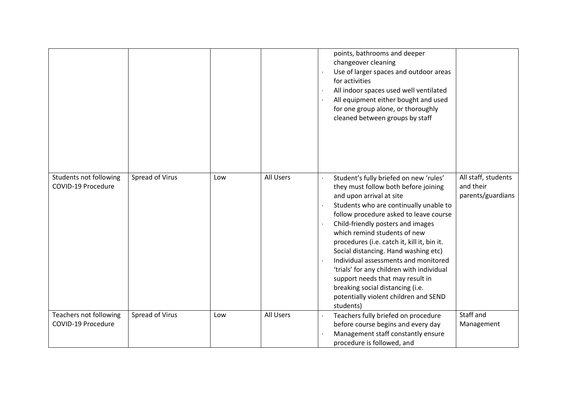|                                              |                 |     |           | points, bathrooms and deeper<br>changeover cleaning<br>Use of larger spaces and outdoor areas<br>for activities<br>All indoor spaces used well ventilated<br>All equipment either bought and used<br>for one group alone, or thoroughly<br>cleaned between groups by staff                                                                                                                                                                                                                                                                                                                                                             |
|----------------------------------------------|-----------------|-----|-----------|----------------------------------------------------------------------------------------------------------------------------------------------------------------------------------------------------------------------------------------------------------------------------------------------------------------------------------------------------------------------------------------------------------------------------------------------------------------------------------------------------------------------------------------------------------------------------------------------------------------------------------------|
| Students not following<br>COVID-19 Procedure | Spread of Virus | Low | All Users | All staff, students<br>Student's fully briefed on new 'rules'<br>and their<br>they must follow both before joining<br>parents/guardians<br>and upon arrival at site<br>Students who are continually unable to<br>follow procedure asked to leave course<br>Child-friendly posters and images<br>which remind students of new<br>procedures (i.e. catch it, kill it, bin it.<br>Social distancing. Hand washing etc)<br>Individual assessments and monitored<br>'trials' for any children with individual<br>support needs that may result in<br>breaking social distancing (i.e.<br>potentially violent children and SEND<br>students) |
| Teachers not following<br>COVID-19 Procedure | Spread of Virus | Low | All Users | Staff and<br>Teachers fully briefed on procedure<br>before course begins and every day<br>Management<br>Management staff constantly ensure<br>procedure is followed, and                                                                                                                                                                                                                                                                                                                                                                                                                                                               |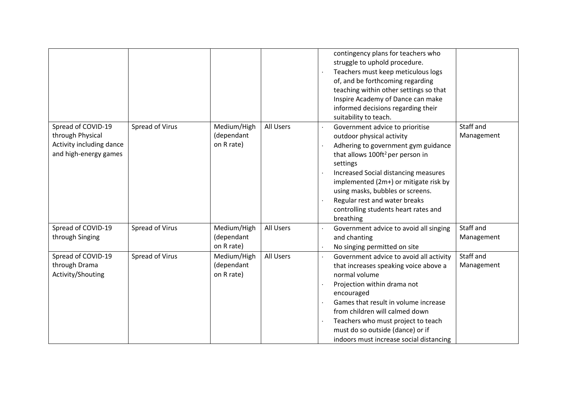|                                                                                             |                 |                                         |           | contingency plans for teachers who<br>struggle to uphold procedure.<br>Teachers must keep meticulous logs<br>of, and be forthcoming regarding<br>teaching within other settings so that<br>Inspire Academy of Dance can make<br>informed decisions regarding their<br>suitability to teach.                                                                                                           |
|---------------------------------------------------------------------------------------------|-----------------|-----------------------------------------|-----------|-------------------------------------------------------------------------------------------------------------------------------------------------------------------------------------------------------------------------------------------------------------------------------------------------------------------------------------------------------------------------------------------------------|
| Spread of COVID-19<br>through Physical<br>Activity including dance<br>and high-energy games | Spread of Virus | Medium/High<br>(dependant<br>on R rate) | All Users | Staff and<br>Government advice to prioritise<br>outdoor physical activity<br>Management<br>Adhering to government gym guidance<br>that allows 100ft <sup>2</sup> per person in<br>settings<br>Increased Social distancing measures<br>implemented (2m+) or mitigate risk by<br>using masks, bubbles or screens.<br>Regular rest and water breaks<br>controlling students heart rates and<br>breathing |
| Spread of COVID-19<br>through Singing                                                       | Spread of Virus | Medium/High<br>(dependant<br>on R rate) | All Users | Staff and<br>Government advice to avoid all singing<br>and chanting<br>Management<br>No singing permitted on site                                                                                                                                                                                                                                                                                     |
| Spread of COVID-19<br>through Drama<br>Activity/Shouting                                    | Spread of Virus | Medium/High<br>(dependant<br>on R rate) | All Users | Staff and<br>Government advice to avoid all activity<br>that increases speaking voice above a<br>Management<br>normal volume<br>Projection within drama not<br>encouraged<br>Games that result in volume increase<br>$\cdot$<br>from children will calmed down<br>Teachers who must project to teach<br>must do so outside (dance) or if<br>indoors must increase social distancing                   |